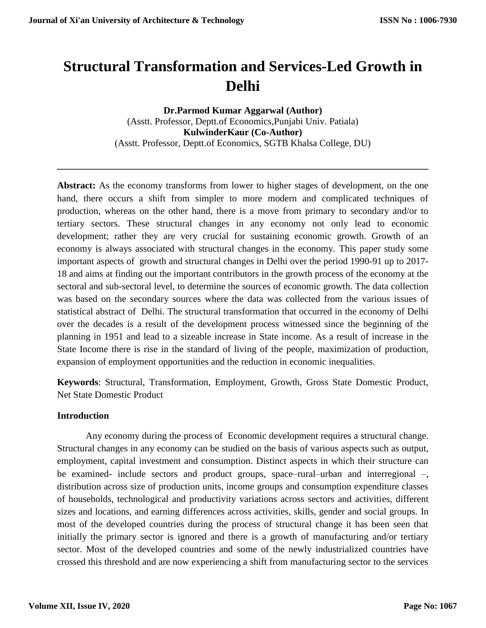# **Structural Transformation and Services-Led Growth in Delhi**

**Dr.Parmod Kumar Aggarwal (Author)** (Asstt. Professor, Deptt.of Economics,Punjabi Univ. Patiala) **KulwinderKaur (Co-Author)** (Asstt. Professor, Deptt.of Economics, SGTB Khalsa College, DU)

**\_\_\_\_\_\_\_\_\_\_\_\_\_\_\_\_\_\_\_\_\_\_\_\_\_\_\_\_\_\_\_\_\_\_\_\_\_\_\_\_\_\_\_\_\_\_\_\_\_\_\_\_\_\_\_\_\_\_\_\_\_\_\_\_\_\_\_\_\_\_\_\_\_\_\_\_\_\_**

**Abstract:** As the economy transforms from lower to higher stages of development, on the one hand, there occurs a shift from simpler to more modern and complicated techniques of production, whereas on the other hand, there is a move from primary to secondary and/or to tertiary sectors. These structural changes in any economy not only lead to economic development; rather they are very crucial for sustaining economic growth. Growth of an economy is always associated with structural changes in the economy. This paper study some important aspects of growth and structural changes in Delhi over the period 1990-91 up to 2017- 18 and aims at finding out the important contributors in the growth process of the economy at the sectoral and sub-sectoral level, to determine the sources of economic growth. The data collection was based on the secondary sources where the data was collected from the various issues of statistical abstract of Delhi. The structural transformation that occurred in the economy of Delhi over the decades is a result of the development process witnessed since the beginning of the planning in 1951 and lead to a sizeable increase in State income. As a result of increase in the State Income there is rise in the standard of living of the people, maximization of production, expansion of employment opportunities and the reduction in economic inequalities.

**Keywords**: Structural, Transformation, Employment, Growth, Gross State Domestic Product, Net State Domestic Product

## **Introduction**

Any economy during the process of Economic development requires a structural change. Structural changes in any economy can be studied on the basis of various aspects such as output, employment, capital investment and consumption. Distinct aspects in which their structure can be examined- include sectors and product groups, space–rural–urban and interregional –, distribution across size of production units, income groups and consumption expenditure classes of households, technological and productivity variations across sectors and activities, different sizes and locations, and earning differences across activities, skills, gender and social groups. In most of the developed countries during the process of structural change it has been seen that initially the primary sector is ignored and there is a growth of manufacturing and/or tertiary sector. Most of the developed countries and some of the newly industrialized countries have crossed this threshold and are now experiencing a shift from manufacturing sector to the services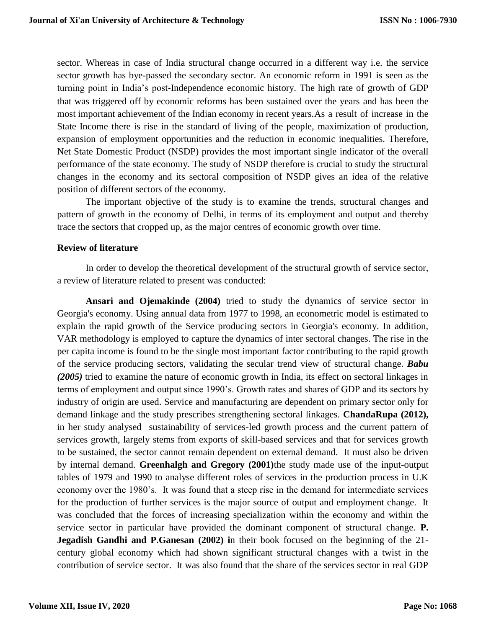sector. Whereas in case of India structural change occurred in a different way i.e. the service sector growth has bye-passed the secondary sector. An economic reform in 1991 is seen as the turning point in India's post‐Independence economic history. The high rate of growth of GDP that was triggered off by economic reforms has been sustained over the years and has been the most important achievement of the Indian economy in recent years.As a result of increase in the State Income there is rise in the standard of living of the people, maximization of production, expansion of employment opportunities and the reduction in economic inequalities. Therefore, Net State Domestic Product (NSDP) provides the most important single indicator of the overall performance of the state economy. The study of NSDP therefore is crucial to study the structural changes in the economy and its sectoral composition of NSDP gives an idea of the relative position of different sectors of the economy.

The important objective of the study is to examine the trends, structural changes and pattern of growth in the economy of Delhi, in terms of its employment and output and thereby trace the sectors that cropped up, as the major centres of economic growth over time.

## **Review of literature**

In order to develop the theoretical development of the structural growth of service sector, a review of literature related to present was conducted:

**Ansari and Ojemakinde (2004)** tried to study the dynamics of service sector in Georgia's economy. Using annual data from 1977 to 1998, an econometric model is estimated to explain the rapid growth of the Service producing sectors in Georgia's economy. In addition, VAR methodology is employed to capture the dynamics of inter sectoral changes. The rise in the per capita income is found to be the single most important factor contributing to the rapid growth of the service producing sectors, validating the secular trend view of structural change. *Babu (2005)* tried to examine the nature of economic growth in India, its effect on sectoral linkages in terms of employment and output since 1990's. Growth rates and shares of GDP and its sectors by industry of origin are used. Service and manufacturing are dependent on primary sector only for demand linkage and the study prescribes strengthening sectoral linkages. **ChandaRupa (2012),**  in her study analysed sustainability of services-led growth process and the current pattern of services growth, largely stems from exports of skill-based services and that for services growth to be sustained, the sector cannot remain dependent on external demand. It must also be driven by internal demand. **Greenhalgh and Gregory (2001)**the study made use of the input-output tables of 1979 and 1990 to analyse different roles of services in the production process in U.K economy over the 1980's. It was found that a steep rise in the demand for intermediate services for the production of further services is the major source of output and employment change. It was concluded that the forces of increasing specialization within the economy and within the service sector in particular have provided the dominant component of structural change. **P. Jegadish Gandhi and P.Ganesan (2002) i**n their book focused on the beginning of the 21 century global economy which had shown significant structural changes with a twist in the contribution of service sector. It was also found that the share of the services sector in real GDP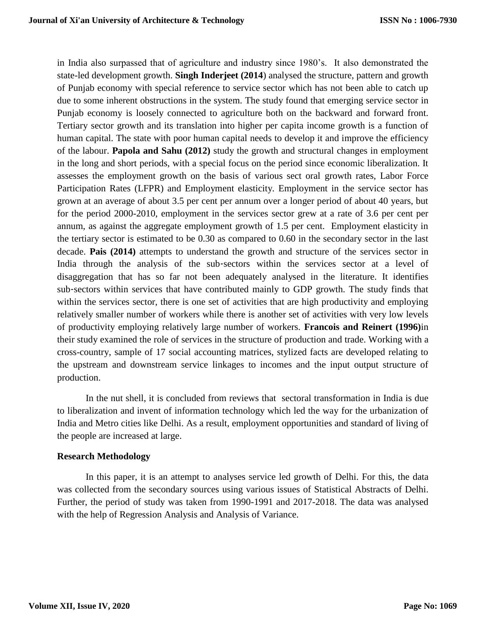in India also surpassed that of agriculture and industry since 1980's. It also demonstrated the state-led development growth. **Singh Inderjeet (2014**) analysed the structure, pattern and growth of Punjab economy with special reference to service sector which has not been able to catch up due to some inherent obstructions in the system. The study found that emerging service sector in Punjab economy is loosely connected to agriculture both on the backward and forward front. Tertiary sector growth and its translation into higher per capita income growth is a function of human capital. The state with poor human capital needs to develop it and improve the efficiency of the labour. **Papola and Sahu (2012)** study the growth and structural changes in employment in the long and short periods, with a special focus on the period since economic liberalization. It assesses the employment growth on the basis of various sect oral growth rates, Labor Force Participation Rates (LFPR) and Employment elasticity. Employment in the service sector has grown at an average of about 3.5 per cent per annum over a longer period of about 40 years, but for the period 2000-2010, employment in the services sector grew at a rate of 3.6 per cent per annum, as against the aggregate employment growth of 1.5 per cent. Employment elasticity in the tertiary sector is estimated to be 0.30 as compared to 0.60 in the secondary sector in the last decade. **Pais (2014)** attempts to understand the growth and structure of the services sector in India through the analysis of the sub-sectors within the services sector at a level of disaggregation that has so far not been adequately analysed in the literature. It identifies sub‐sectors within services that have contributed mainly to GDP growth. The study finds that within the services sector, there is one set of activities that are high productivity and employing relatively smaller number of workers while there is another set of activities with very low levels of productivity employing relatively large number of workers. **Francois and Reinert (1996)**in their study examined the role of services in the structure of production and trade. Working with a cross-country, sample of 17 social accounting matrices, stylized facts are developed relating to the upstream and downstream service linkages to incomes and the input output structure of production.

In the nut shell, it is concluded from reviews that sectoral transformation in India is due to liberalization and invent of information technology which led the way for the urbanization of India and Metro cities like Delhi. As a result, employment opportunities and standard of living of the people are increased at large.

## **Research Methodology**

In this paper, it is an attempt to analyses service led growth of Delhi. For this, the data was collected from the secondary sources using various issues of Statistical Abstracts of Delhi. Further, the period of study was taken from 1990-1991 and 2017-2018. The data was analysed with the help of Regression Analysis and Analysis of Variance.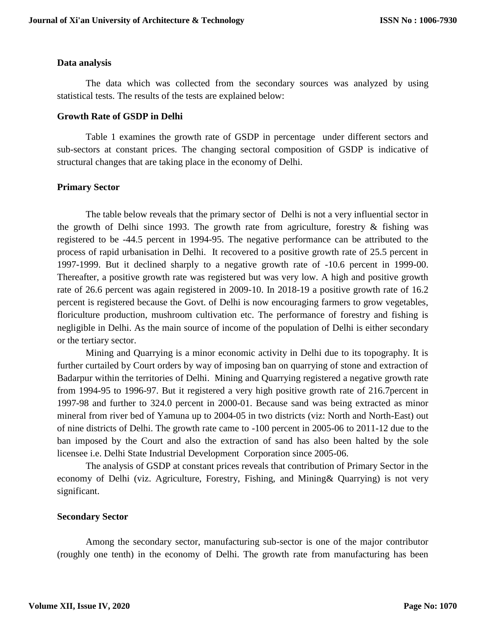#### **Data analysis**

The data which was collected from the secondary sources was analyzed by using statistical tests. The results of the tests are explained below:

#### **Growth Rate of GSDP in Delhi**

Table 1 examines the growth rate of GSDP in percentage under different sectors and sub-sectors at constant prices. The changing sectoral composition of GSDP is indicative of structural changes that are taking place in the economy of Delhi.

#### **Primary Sector**

The table below reveals that the primary sector of Delhi is not a very influential sector in the growth of Delhi since 1993. The growth rate from agriculture, forestry  $\&$  fishing was registered to be -44.5 percent in 1994-95. The negative performance can be attributed to the process of rapid urbanisation in Delhi. It recovered to a positive growth rate of 25.5 percent in 1997-1999. But it declined sharply to a negative growth rate of -10.6 percent in 1999-00. Thereafter, a positive growth rate was registered but was very low. A high and positive growth rate of 26.6 percent was again registered in 2009-10. In 2018-19 a positive growth rate of 16.2 percent is registered because the Govt. of Delhi is now encouraging farmers to grow vegetables, floriculture production, mushroom cultivation etc. The performance of forestry and fishing is negligible in Delhi. As the main source of income of the population of Delhi is either secondary or the tertiary sector.

Mining and Quarrying is a minor economic activity in Delhi due to its topography. It is further curtailed by Court orders by way of imposing ban on quarrying of stone and extraction of Badarpur within the territories of Delhi. Mining and Quarrying registered a negative growth rate from 1994-95 to 1996-97. But it registered a very high positive growth rate of 216.7percent in 1997-98 and further to 324.0 percent in 2000-01. Because sand was being extracted as minor mineral from river bed of Yamuna up to 2004-05 in two districts (viz: North and North-East) out of nine districts of Delhi. The growth rate came to -100 percent in 2005-06 to 2011-12 due to the ban imposed by the Court and also the extraction of sand has also been halted by the sole licensee i.e. Delhi State Industrial Development Corporation since 2005-06.

The analysis of GSDP at constant prices reveals that contribution of Primary Sector in the economy of Delhi (viz. Agriculture, Forestry, Fishing, and Mining& Quarrying) is not very significant.

#### **Secondary Sector**

Among the secondary sector, manufacturing sub-sector is one of the major contributor (roughly one tenth) in the economy of Delhi. The growth rate from manufacturing has been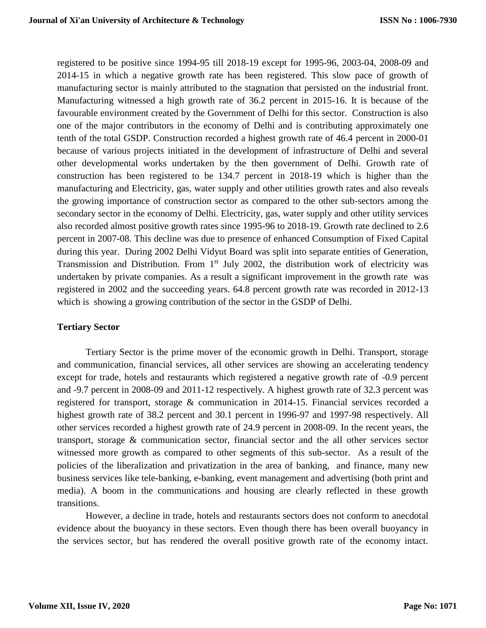registered to be positive since 1994-95 till 2018-19 except for 1995-96, 2003-04, 2008-09 and 2014-15 in which a negative growth rate has been registered. This slow pace of growth of manufacturing sector is mainly attributed to the stagnation that persisted on the industrial front. Manufacturing witnessed a high growth rate of 36.2 percent in 2015-16. It is because of the favourable environment created by the Government of Delhi for this sector. Construction is also one of the major contributors in the economy of Delhi and is contributing approximately one tenth of the total GSDP. Construction recorded a highest growth rate of 46.4 percent in 2000-01 because of various projects initiated in the development of infrastructure of Delhi and several other developmental works undertaken by the then government of Delhi. Growth rate of construction has been registered to be 134.7 percent in 2018-19 which is higher than the manufacturing and Electricity, gas, water supply and other utilities growth rates and also reveals the growing importance of construction sector as compared to the other sub-sectors among the secondary sector in the economy of Delhi. Electricity, gas, water supply and other utility services also recorded almost positive growth rates since 1995-96 to 2018-19. Growth rate declined to 2.6 percent in 2007-08. This decline was due to presence of enhanced Consumption of Fixed Capital during this year. During 2002 Delhi Vidyut Board was split into separate entities of Generation, Transmission and Distribution. From  $1<sup>st</sup>$  July 2002, the distribution work of electricity was undertaken by private companies. As a result a significant improvement in the growth rate was registered in 2002 and the succeeding years. 64.8 percent growth rate was recorded in 2012-13 which is showing a growing contribution of the sector in the GSDP of Delhi.

## **Tertiary Sector**

Tertiary Sector is the prime mover of the economic growth in Delhi. Transport, storage and communication, financial services, all other services are showing an accelerating tendency except for trade, hotels and restaurants which registered a negative growth rate of -0.9 percent and -9.7 percent in 2008-09 and 2011-12 respectively. A highest growth rate of 32.3 percent was registered for transport, storage & communication in 2014-15. Financial services recorded a highest growth rate of 38.2 percent and 30.1 percent in 1996-97 and 1997-98 respectively. All other services recorded a highest growth rate of 24.9 percent in 2008-09. In the recent years, the transport, storage & communication sector, financial sector and the all other services sector witnessed more growth as compared to other segments of this sub-sector. As a result of the policies of the liberalization and privatization in the area of banking, and finance, many new business services like tele-banking, e-banking, event management and advertising (both print and media). A boom in the communications and housing are clearly reflected in these growth transitions.

However, a decline in trade, hotels and restaurants sectors does not conform to anecdotal evidence about the buoyancy in these sectors. Even though there has been overall buoyancy in the services sector, but has rendered the overall positive growth rate of the economy intact.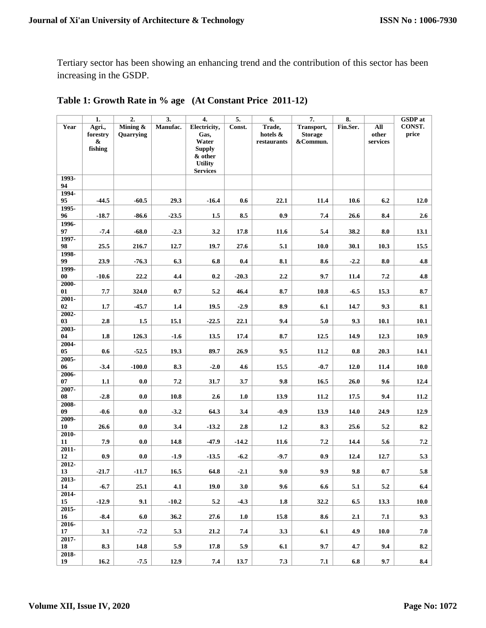Tertiary sector has been showing an enhancing trend and the contribution of this sector has been increasing in the GSDP.

|             | 1.                            | $\overline{2}$ . | $\overline{3}$ . | 4.                                | 5.      | 6.                      | $\overline{7}$ .           | 8.       |                   | <b>GSDP</b> at |
|-------------|-------------------------------|------------------|------------------|-----------------------------------|---------|-------------------------|----------------------------|----------|-------------------|----------------|
| Year        | Agri.,                        | Mining &         | Manufac.         | Electricity,                      | Const.  | Trade,                  | Transport,                 | Fin.Ser. | All               | CONST.         |
|             | forestry<br>$\boldsymbol{\&}$ | Quarrying        |                  | Gas,<br>Water                     |         | hotels &<br>restaurants | <b>Storage</b><br>&Commun. |          | other<br>services | price          |
|             | fishing                       |                  |                  | <b>Supply</b>                     |         |                         |                            |          |                   |                |
|             |                               |                  |                  | & other                           |         |                         |                            |          |                   |                |
|             |                               |                  |                  | <b>Utility</b><br><b>Services</b> |         |                         |                            |          |                   |                |
| 1993-       |                               |                  |                  |                                   |         |                         |                            |          |                   |                |
| 94<br>1994- |                               |                  |                  |                                   |         |                         |                            |          |                   |                |
| 95          | $-44.5$                       | $-60.5$          | 29.3             | $-16.4$                           | 0.6     | 22.1                    | 11.4                       | 10.6     | 6.2               | 12.0           |
| 1995-       |                               |                  |                  |                                   |         |                         |                            |          |                   |                |
| 96<br>1996- | $-18.7$                       | $-86.6$          | $-23.5$          | 1.5                               | 8.5     | 0.9                     | 7.4                        | 26.6     | 8.4               | 2.6            |
| 97          | $-7.4$                        | $-68.0$          | $-2.3$           | 3.2                               | 17.8    | 11.6                    | 5.4                        | 38.2     | 8.0               | 13.1           |
| 1997-       |                               |                  |                  |                                   |         |                         |                            |          |                   |                |
| 98<br>1998- | 25.5                          | 216.7            | 12.7             | 19.7                              | 27.6    | 5.1                     | 10.0                       | 30.1     | 10.3              | 15.5           |
| 99          | 23.9                          | $-76.3$          | 6.3              | 6.8                               | 0.4     | 8.1                     | 8.6                        | $-2.2$   | 8.0               | 4.8            |
| 1999-       |                               |                  |                  |                                   |         |                         |                            |          |                   |                |
| 00<br>2000- | $-10.6$                       | 22.2             | 4.4              | 0.2                               | $-20.3$ | $2.2\,$                 | 9.7                        | 11.4     | $7.2\,$           | 4.8            |
| 01          | 7.7                           | 324.0            | 0.7              | 5.2                               | 46.4    | 8.7                     | 10.8                       | $-6.5$   | 15.3              | 8.7            |
| 2001-       |                               |                  |                  |                                   |         |                         |                            |          |                   |                |
| 02<br>2002- | 1.7                           | $-45.7$          | 1.4              | 19.5                              | $-2.9$  | 8.9                     | 6.1                        | 14.7     | 9.3               | 8.1            |
| 03          | 2.8                           | 1.5              | 15.1             | $-22.5$                           | 22.1    | 9.4                     | 5.0                        | 9.3      | 10.1              | 10.1           |
| 2003-       |                               |                  |                  |                                   |         |                         |                            |          |                   |                |
| 04<br>2004- | 1.8                           | 126.3            | $-1.6$           | 13.5                              | 17.4    | 8.7                     | 12.5                       | 14.9     | 12.3              | 10.9           |
| 05          | $0.6\,$                       | $-52.5$          | 19.3             | 89.7                              | 26.9    | 9.5                     | 11.2                       | 0.8      | 20.3              | 14.1           |
| 2005-       |                               |                  |                  |                                   |         |                         |                            |          |                   |                |
| 06<br>2006- | $-3.4$                        | $-100.0$         | 8.3              | $-2.0$                            | 4.6     | 15.5                    | $-0.7$                     | 12.0     | 11.4              | 10.0           |
| 07          | 1.1                           | 0.0              | 7.2              | 31.7                              | 3.7     | 9.8                     | 16.5                       | 26.0     | 9.6               | 12.4           |
| 2007-<br>08 | $-2.8$                        | 0.0              | 10.8             | 2.6                               | 1.0     | 13.9                    | 11.2                       | 17.5     | 9.4               | 11.2           |
| 2008-       |                               |                  |                  |                                   |         |                         |                            |          |                   |                |
| 09          | $-0.6$                        | 0.0              | $-3.2$           | 64.3                              | 3.4     | $-0.9$                  | 13.9                       | 14.0     | 24.9              | 12.9           |
| 2009-<br>10 | 26.6                          | 0.0              | 3.4              | $-13.2$                           | 2.8     | 1.2                     | 8.3                        | 25.6     | 5.2               | 8.2            |
| $2010-$     |                               |                  |                  |                                   |         |                         |                            |          |                   |                |
| 11          | 7.9                           | 0.0              | 14.8             | $-47.9$                           | $-14.2$ | 11.6                    | 7.2                        | 14.4     | 5.6               | 7.2            |
| 2011-<br>12 | 0.9                           | $\mathbf{0.0}$   | $-1.9$           | $-13.5$                           | $-6.2$  | $-9.7$                  | 0.9                        | 12.4     | 12.7              | 5.3            |
| 2012-       |                               |                  |                  |                                   |         |                         |                            |          |                   |                |
| 13          | $-21.7$                       | $-11.7$          | 16.5             | 64.8                              | $-2.1$  | 9.0                     | 9.9                        | 9.8      | 0.7               | 5.8            |
| 2013-<br>14 | $-6.7$                        | 25.1             | 4.1              | 19.0                              | 3.0     | 9.6                     | 6.6                        | 5.1      | $5.2\,$           | 6.4            |
| 2014-       |                               |                  |                  |                                   |         |                         |                            |          |                   |                |
| 15          | $-12.9$                       | 9.1              | $-10.2$          | 5.2                               | $-4.3$  | 1.8                     | 32.2                       | 6.5      | 13.3              | 10.0           |
| 2015-<br>16 | $-8.4$                        | 6.0              | 36.2             | 27.6                              | 1.0     | 15.8                    | 8.6                        | 2.1      | 7.1               | 9.3            |
| 2016-       |                               |                  |                  |                                   |         |                         |                            |          |                   |                |
| 17          | 3.1                           | $-7.2$           | 5.3              | 21.2                              | 7.4     | 3.3                     | $\boldsymbol{6.1}$         | 4.9      | 10.0              | 7.0            |
| 2017-<br>18 | 8.3                           | 14.8             | 5.9              | 17.8                              | 5.9     | 6.1                     | 9.7                        | 4.7      | 9.4               | 8.2            |
| $2018-$     |                               |                  |                  |                                   |         |                         |                            |          |                   |                |
| 19          | 16.2                          | $-7.5$           | 12.9             | 7.4                               | 13.7    | 7.3                     | $\bf 7.1$                  | 6.8      | 9.7               | 8.4            |

## **Table 1: Growth Rate in % age (At Constant Price 2011-12)**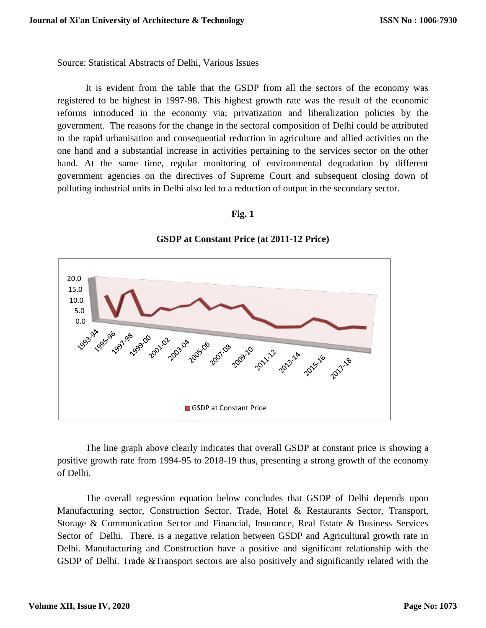Source: Statistical Abstracts of Delhi, Various Issues

It is evident from the table that the GSDP from all the sectors of the economy was registered to be highest in 1997-98. This highest growth rate was the result of the economic reforms introduced in the economy via; privatization and liberalization policies by the government. The reasons for the change in the sectoral composition of Delhi could be attributed to the rapid urbanisation and consequential reduction in agriculture and allied activities on the one hand and a substantial increase in activities pertaining to the services sector on the other hand. At the same time, regular monitoring of environmental degradation by different government agencies on the directives of Supreme Court and subsequent closing down of polluting industrial units in Delhi also led to a reduction of output in the secondary sector.

#### **Fig. 1**



## **GSDP at Constant Price (at 2011-12 Price)**

The line graph above clearly indicates that overall GSDP at constant price is showing a positive growth rate from 1994-95 to 2018-19 thus, presenting a strong growth of the economy of Delhi.

The overall regression equation below concludes that GSDP of Delhi depends upon Manufacturing sector, Construction Sector, Trade, Hotel & Restaurants Sector, Transport, Storage & Communication Sector and Financial, Insurance, Real Estate & Business Services Sector of Delhi. There, is a negative relation between GSDP and Agricultural growth rate in Delhi. Manufacturing and Construction have a positive and significant relationship with the GSDP of Delhi. Trade &Transport sectors are also positively and significantly related with the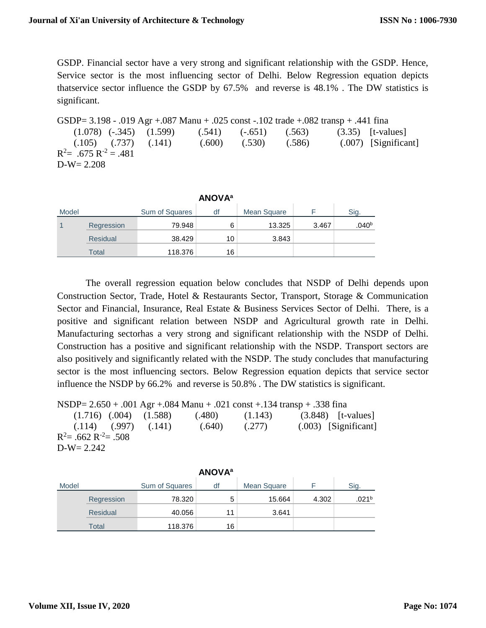GSDP. Financial sector have a very strong and significant relationship with the GSDP. Hence, Service sector is the most influencing sector of Delhi. Below Regression equation depicts thatservice sector influence the GSDP by 67.5% and reverse is 48.1% . The DW statistics is significant.

GSDP= 3.198 - .019 Agr +.087 Manu + .025 const -.102 trade +.082 transp + .441 fina  $(1.078)$   $(-.345)$   $(1.599)$   $(0.541)$   $(-.651)$   $(0.563)$   $(3.35)$  [t-values] (.105) (.737) (.141) (.600) (.530) (.586) (.007) [Significant]  $R^2$  = .675  $R^{-2}$  = .481 D-W= 2.208

| <b>ANOVA</b> <sup>a</sup> |                 |                |    |             |       |                |  |  |
|---------------------------|-----------------|----------------|----|-------------|-------|----------------|--|--|
| Model                     |                 | Sum of Squares | df | Mean Square |       | Sig.           |  |  |
|                           | Regression      | 79.948         | 6  | 13.325      | 3.467 | $.040^{\rm b}$ |  |  |
|                           | <b>Residual</b> | 38.429         | 10 | 3.843       |       |                |  |  |
|                           | Total           | 118.376        | 16 |             |       |                |  |  |

The overall regression equation below concludes that NSDP of Delhi depends upon Construction Sector, Trade, Hotel & Restaurants Sector, Transport, Storage & Communication Sector and Financial, Insurance, Real Estate & Business Services Sector of Delhi. There, is a positive and significant relation between NSDP and Agricultural growth rate in Delhi. Manufacturing sectorhas a very strong and significant relationship with the NSDP of Delhi. Construction has a positive and significant relationship with the NSDP. Transport sectors are also positively and significantly related with the NSDP. The study concludes that manufacturing sector is the most influencing sectors. Below Regression equation depicts that service sector influence the NSDP by 66.2% and reverse is 50.8% . The DW statistics is significant.

NSDP= 2.650 + .001 Agr +.084 Manu + .021 const +.134 transp + .338 fina  $(1.716)$   $(.004)$   $(1.588)$   $(.480)$   $(1.143)$   $(3.848)$  [t-values]

 (.114) (.997) (.141) (.640) (.277) (.003) [Significant]  $R^2$ = .662  $R^{-2}$ = .508 D-W= 2.242

**ANOVA<sup>a</sup>**

| <b>ANUVA</b> |                 |                |    |             |       |                   |  |  |
|--------------|-----------------|----------------|----|-------------|-------|-------------------|--|--|
| Model        |                 | Sum of Squares | df | Mean Square |       | Sia.              |  |  |
|              | Regression      | 78.320         | 5  | 15.664      | 4.302 | .021 <sup>b</sup> |  |  |
|              | <b>Residual</b> | 40.056         | 11 | 3.641       |       |                   |  |  |
|              | Total           | 118.376        | 16 |             |       |                   |  |  |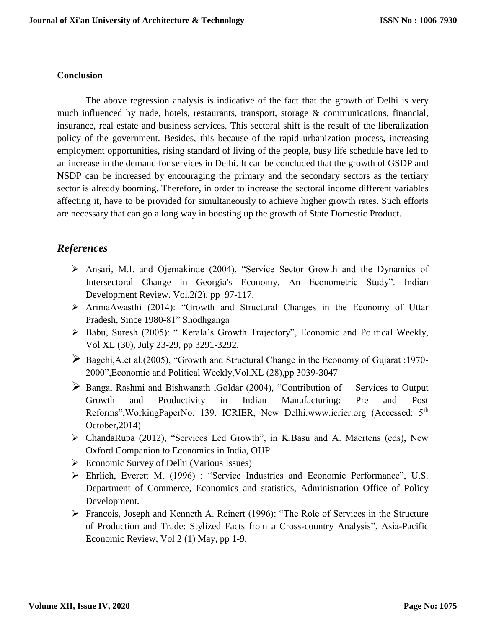### **Conclusion**

The above regression analysis is indicative of the fact that the growth of Delhi is very much influenced by trade, hotels, restaurants, transport, storage & communications, financial, insurance, real estate and business services. This sectoral shift is the result of the liberalization policy of the government. Besides, this because of the rapid urbanization process, increasing employment opportunities, rising standard of living of the people, busy life schedule have led to an increase in the demand for services in Delhi. It can be concluded that the growth of GSDP and NSDP can be increased by encouraging the primary and the secondary sectors as the tertiary sector is already booming. Therefore, in order to increase the sectoral income different variables affecting it, have to be provided for simultaneously to achieve higher growth rates. Such efforts are necessary that can go a long way in boosting up the growth of State Domestic Product.

## *References*

- Ansari, M.I. and Ojemakinde (2004), "Service Sector Growth and the Dynamics of Intersectoral Change in Georgia's Economy, An Econometric Study". Indian Development Review. Vol.2(2), pp 97-117.
- $\triangleright$  ArimaAwasthi (2014): "Growth and Structural Changes in the Economy of Uttar Pradesh, Since 1980-81" Shodhganga
- Babu, Suresh (2005): " Kerala's Growth Trajectory", Economic and Political Weekly, Vol XL (30), July 23-29, pp 3291-3292.
- Bagchi,A.et al.(2005), "Growth and Structural Change in the Economy of Gujarat :1970- 2000",Economic and Political Weekly,Vol.XL (28),pp 3039-3047
- Banga, Rashmi and Bishwanath ,Goldar (2004), "Contribution of Services to Output Growth and Productivity in Indian Manufacturing: Pre and Post Reforms", WorkingPaperNo. 139. ICRIER, New Delhi.www.icrier.org (Accessed: 5<sup>th</sup>) October,2014)
- ChandaRupa (2012), "Services Led Growth", in K.Basu and A. Maertens (eds), New Oxford Companion to Economics in India, OUP.
- $\triangleright$  Economic Survey of Delhi (Various Issues)
- Ehrlich, Everett M. (1996) : "Service Industries and Economic Performance", U.S. Department of Commerce, Economics and statistics, Administration Office of Policy Development.
- Francois, Joseph and Kenneth A. Reinert (1996): "The Role of Services in the Structure of Production and Trade: Stylized Facts from a Cross-country Analysis", Asia-Pacific Economic Review, Vol 2 (1) May, pp 1-9.